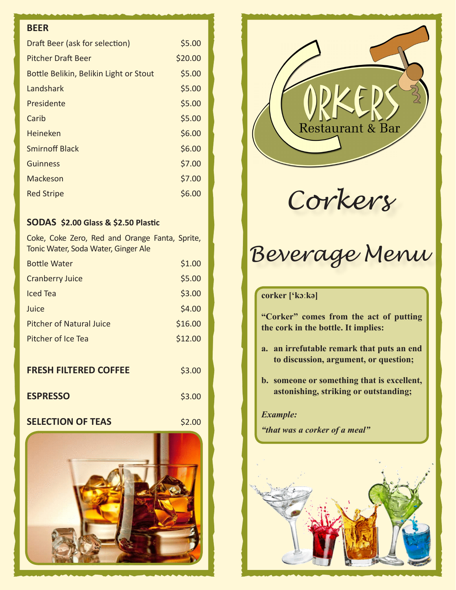# **BEER**

| Draft Beer (ask for selection)         | \$5.00  |
|----------------------------------------|---------|
| Pitcher Draft Beer                     | \$20.00 |
| Bottle Belikin, Belikin Light or Stout | \$5.00  |
| Landshark                              | \$5.00  |
| Presidente                             | \$5.00  |
| Carib                                  | \$5.00  |
| <b>Heineken</b>                        | \$6.00  |
| <b>Smirnoff Black</b>                  | \$6.00  |
| Guinness                               | \$7.00  |
| Mackeson                               | \$7.00  |
| <b>Red Stripe</b>                      | \$6.00  |

## **SODAS \$2.00 Glass & \$2.50 Plastic**

Coke, Coke Zero, Red and Orange Fanta, Sprite, Tonic Water, Soda Water, Ginger Ale

| <b>Bottle Water</b>             | \$1.00  |
|---------------------------------|---------|
| <b>Cranberry Juice</b>          | \$5.00  |
| Iced Tea                        | \$3.00  |
| Juice                           | \$4.00  |
| <b>Pitcher of Natural Juice</b> | \$16.00 |
| Pitcher of Ice Tea              | \$12.00 |
|                                 |         |
| <b>FRESH FILTERED COFFEE</b>    | \$3.00  |
| <b>ESPRESSO</b>                 | \$3.00  |
| <b>SELECTION OF TEAS</b>        | \$2.00  |





*Corkers*

# *Beverage Menu*

# **corker ['kɔːkə]**

**"Corker" comes from the act of putting the cork in the bottle. It implies:**

- **a. an irrefutable remark that puts an end to discussion, argument, or question;**
- **b. someone or something that is excellent, astonishing, striking or outstanding;**

## *Example:*

*"that was a corker of a meal"*